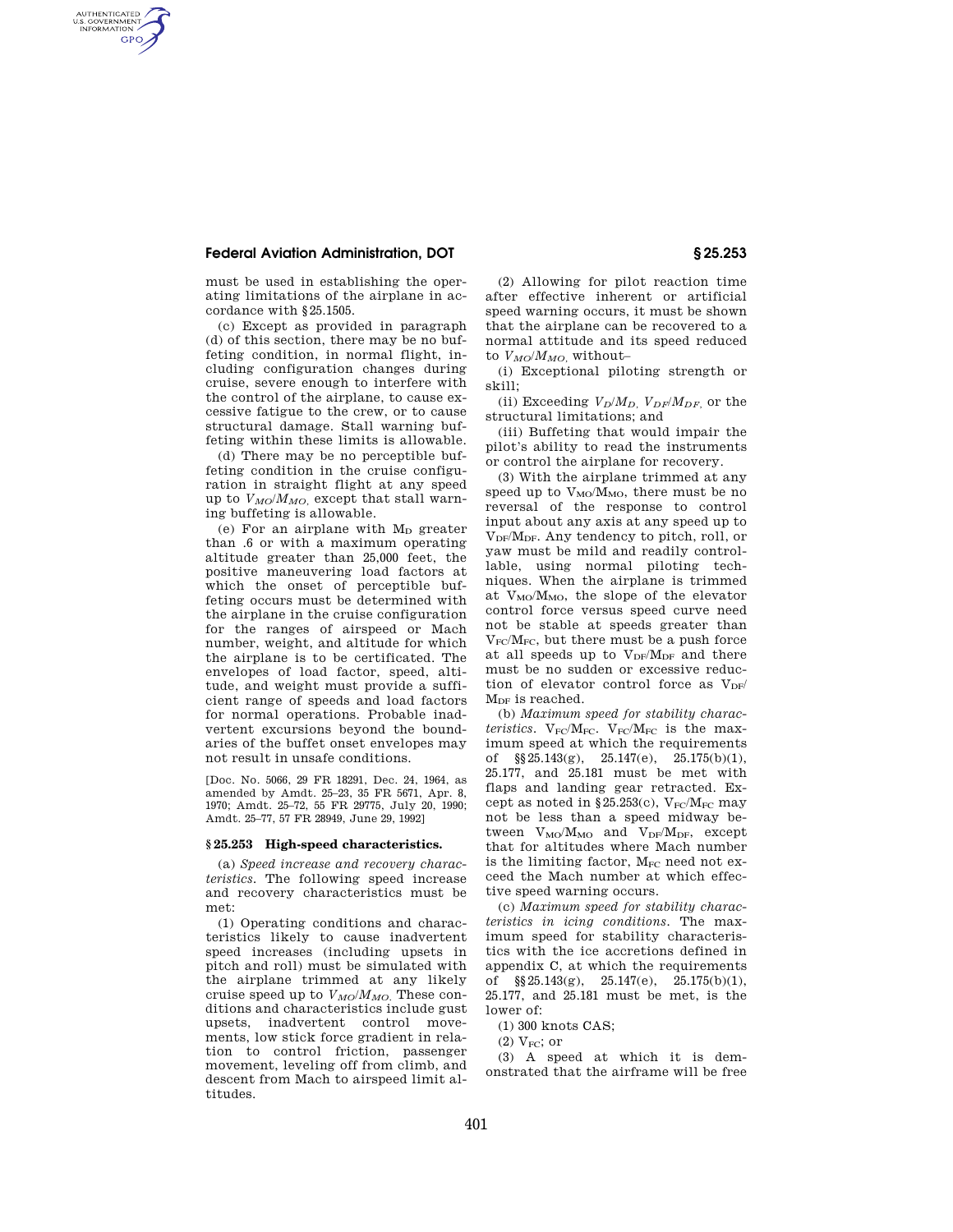# **Federal Aviation Administration, DOT § 25.253**

AUTHENTICATED<br>U.S. GOVERNMENT<br>INFORMATION **GPO** 

> must be used in establishing the operating limitations of the airplane in accordance with §25.1505.

> (c) Except as provided in paragraph (d) of this section, there may be no buffeting condition, in normal flight, including configuration changes during cruise, severe enough to interfere with the control of the airplane, to cause excessive fatigue to the crew, or to cause structural damage. Stall warning buffeting within these limits is allowable.

> (d) There may be no perceptible buffeting condition in the cruise configuration in straight flight at any speed up to  $V_{MO}/M_{MO}$ , except that stall warning buffeting is allowable.

> (e) For an airplane with  $M_D$  greater than .6 or with a maximum operating altitude greater than 25,000 feet, the positive maneuvering load factors at which the onset of perceptible buffeting occurs must be determined with the airplane in the cruise configuration for the ranges of airspeed or Mach number, weight, and altitude for which the airplane is to be certificated. The envelopes of load factor, speed, altitude, and weight must provide a sufficient range of speeds and load factors for normal operations. Probable inadvertent excursions beyond the boundaries of the buffet onset envelopes may not result in unsafe conditions.

[Doc. No. 5066, 29 FR 18291, Dec. 24, 1964, as amended by Amdt. 25–23, 35 FR 5671, Apr. 8, 1970; Amdt. 25–72, 55 FR 29775, July 20, 1990; Amdt. 25–77, 57 FR 28949, June 29, 1992]

## **§ 25.253 High-speed characteristics.**

(a) *Speed increase and recovery characteristics.* The following speed increase and recovery characteristics must be met:

(1) Operating conditions and characteristics likely to cause inadvertent speed increases (including upsets in pitch and roll) must be simulated with the airplane trimmed at any likely cruise speed up to  $V_{MO}/M_{MO}$ . These conditions and characteristics include gust upsets, inadvertent control movements, low stick force gradient in relation to control friction, passenger movement, leveling off from climb, and descent from Mach to airspeed limit altitudes.

(2) Allowing for pilot reaction time after effective inherent or artificial speed warning occurs, it must be shown that the airplane can be recovered to a normal attitude and its speed reduced to  $V_{MO}/M_{MO}$ , without-

(i) Exceptional piloting strength or skill;

(ii) Exceeding  $V_D/M_D$ ,  $V_{DF}/M_{DF}$ , or the structural limitations; and

(iii) Buffeting that would impair the pilot's ability to read the instruments or control the airplane for recovery.

(3) With the airplane trimmed at any speed up to  $V_{MO}/M_{MO}$ , there must be no reversal of the response to control input about any axis at any speed up to V<sub>DF</sub>/M<sub>DF</sub>. Any tendency to pitch, roll, or yaw must be mild and readily controllable, using normal piloting techniques. When the airplane is trimmed at  $V_{MO}/M_{MO}$ , the slope of the elevator control force versus speed curve need not be stable at speeds greater than  $V_{FC}/M_{FC}$ , but there must be a push force at all speeds up to  $V_{DF}/M_{DF}$  and there must be no sudden or excessive reduction of elevator control force as  $V_{DF}$  $M<sub>DF</sub>$  is reached.

(b) *Maximum speed for stability characteristics.*  $V_{FC}/M_{FC}$ .  $V_{FC}/M_{FC}$  is the maximum speed at which the requirements of §§25.143(g), 25.147(e), 25.175(b)(1), 25.177, and 25.181 must be met with flaps and landing gear retracted. Except as noted in  $$25.253(c)$ , V<sub>FC</sub>/M<sub>FC</sub> may not be less than a speed midway between  $V_{MO}/M_{MO}$  and  $V_{DF}/M_{DF}$ , except that for altitudes where Mach number is the limiting factor,  $M_{FC}$  need not exceed the Mach number at which effective speed warning occurs.

(c) *Maximum speed for stability characteristics in icing conditions.* The maximum speed for stability characteristics with the ice accretions defined in appendix C, at which the requirements of §§25.143(g), 25.147(e), 25.175(b)(1), 25.177, and 25.181 must be met, is the lower of:

(1) 300 knots CAS;

 $(2)$  V<sub>FC</sub>; or

(3) A speed at which it is demonstrated that the airframe will be free